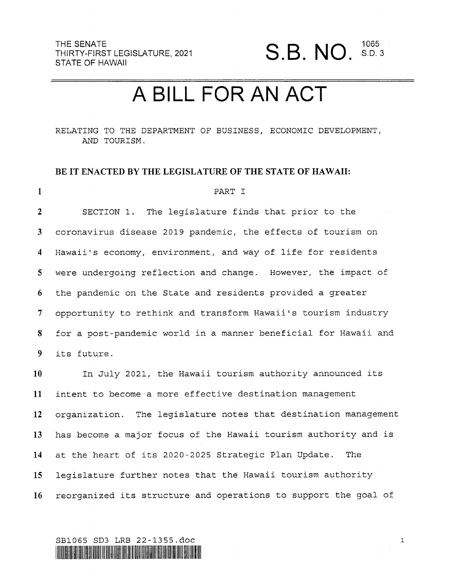### A BILL FOR AN ACT

RELATING TO THE DEPARTMENT OF BUSINESS, ECONOMIC DEVELOPMENT, AND TOURISM.

#### BE IT ENACTED BY THE LEGISLATURE OF THE STATE OF HAWAII:

| $\mathbf{1}$    | PART I                                                          |
|-----------------|-----------------------------------------------------------------|
| $\overline{2}$  | SECTION 1. The legislature finds that prior to the              |
| 3 <sup>1</sup>  | coronavirus disease 2019 pandemic, the effects of tourism on    |
| 4               | Hawaii's economy, environment, and way of life for residents    |
| 5 <sup>1</sup>  | were undergoing reflection and change. However, the impact of   |
| 6               | the pandemic on the State and residents provided a greater      |
| $7\phantom{.}$  | opportunity to rethink and transform Hawaii's tourism industry  |
| 8               | for a post-pandemic world in a manner beneficial for Hawaii and |
| 9 <sup>7</sup>  | its future.                                                     |
| 10 <sup>°</sup> | In July 2021, the Hawaii tourism authority announced its        |
| 11              | intent to become a more effective destination management        |
| 12 <sup>2</sup> | organization. The legislature notes that destination management |

13 14 15 16 has become a major focus of the Hawaii tourism authority and is at the heart of its 2020-2025 Strategic Plan Update. The legislature further notes that the Hawaii tourism authority reorganized its structure and operations to support the goal of

SB1065 SD3 LRB 22-1355.dOC \IIMIHIINIHfllHllHllflllINHIIIHIWIllllflvlllfllflllfllfllllflUNIWIElfillllfllllmlilflllIEWIIHHINHIIVEIIII

 $\mathbf{1}$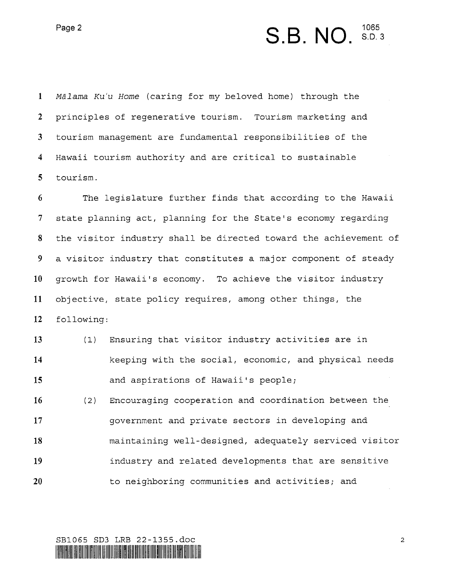Page 2  $S.B. NO.$   ${}^{1065}_{8. D. 3}$ 

Mālama Ku'u Home (caring for my beloved home) through the  $\mathbf{1}$  $2<sup>1</sup>$ principles of regenerative tourism. Tourism marketing and  $3<sup>1</sup>$ tourism management are fundamental responsibilities of the  $\overline{\mathbf{4}}$ Hawaii tourism authority and are critical to sustainable  $5\overline{)}$ tourism.

6 The legislature further finds that according to the Hawaii  $7\overline{ }$ state planning act, planning for the State's economy regarding 8 the visitor industry shall be directed toward the achievement of 9 a visitor industry that constitutes a major component of steady 10 growth for Hawaii's economy. To achieve the visitor industry objective, state policy requires, among other things, the 11 12 following:

13 14 15 16 (l) Ensuring that visitor industry activities are in keeping with the social, economic, and physical needs and aspirations of Hawaii's people; (2) Encouraging cooperation and coordination between the

17 18 19 20 government and private sectors in developing and maintaining well—designed, adequately serviced visitor industry and related developments that are sensitive to neighboring communities and activities; and

SBlOGS SD3 LRB 22-1355.doc HIMIIHIIHIIHIIHIIHIIHIIHIIHIIHIIHIIHIHM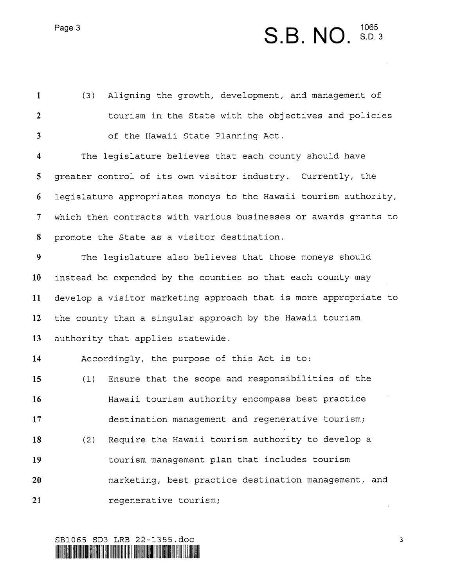Page 3  $S.B. NO.$   ${}^{1065}_{S.D.}$ 

 $\mathbf{1}$ (3) Aligning the growth, development, and management of  $\overline{2}$ tourism in the State with the objectives and policies  $3<sup>1</sup>$ of the Hawaii State Planning Act.  $\overline{\mathbf{4}}$ The legislature believes that each county should have 5 greater control of its own visitor industry. Currently, the 6 legislature appropriates moneys to the Hawaii tourism authority,  $7\overline{ }$ which then contracts with various businesses or awards grants to 8 promote the State as a visitor destination.  $9<sup>°</sup>$ The legislature also believes that those moneys should instead be expended by the counties so that each county may 10 develop a visitor marketing approach that is more appropriate to 11 12 the county than a singular approach by the Hawaii tourism 13 authority that applies statewide. 14 Accordingly, the purpose of this Act is to: 15 (l) Ensure that the scope and responsibilities of the Hawaii tourism authority encompass best practice 16 17 destination management and regenerative tourism; (2) Require the Hawaii tourism authority to develop a 18 19 tourism management plan that includes tourism marketing, best practice destination management, and 20 21 regenerative tourism;

SBlO65 SD3 LRB 22—1355.doc HHII ALILAH INI III IS ANG ALAM INI III AT AT AAN AA INI III III III AH AT ATT

3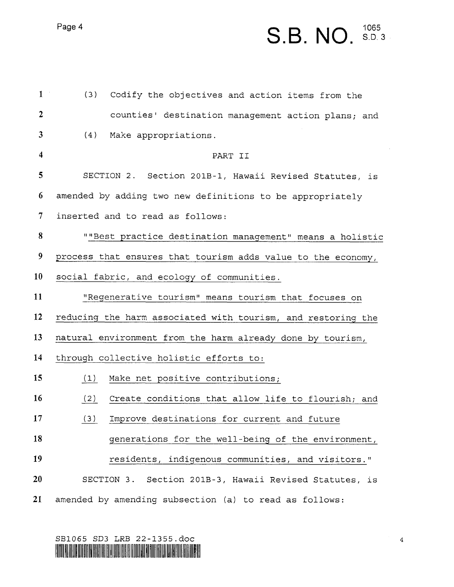Page 4

# S.B. NO.  ${}^{1065}_{8.53}$

 $\sim$ 

| $\mathbf{1}$            | (3)<br>Codify the objectives and action items from the       |
|-------------------------|--------------------------------------------------------------|
| $\boldsymbol{2}$        | counties' destination management action plans; and           |
| 3                       | (4)<br>Make appropriations.                                  |
| $\overline{\mathbf{4}}$ | PART II                                                      |
| 5                       | SECTION 2. Section 201B-1, Hawaii Revised Statutes, is       |
| 6                       | amended by adding two new definitions to be appropriately    |
| 7                       | inserted and to read as follows:                             |
| 8                       | ""Best practice destination management" means a holistic     |
| 9                       | process that ensures that tourism adds value to the economy, |
| 10                      | social fabric, and ecology of communities.                   |
| 11                      | "Regenerative tourism" means tourism that focuses on         |
| 12                      | reducing the harm associated with tourism, and restoring the |
| 13                      | natural environment from the harm already done by tourism,   |
| 14                      | through collective holistic efforts to:                      |
| 15                      | Make net positive contributions;<br>(1)                      |
| 16                      | (2)<br>Create conditions that allow life to flourish; and    |
| 17                      | (3)<br>Improve destinations for current and future           |
| 18                      | generations for the well-being of the environment,           |
| 19                      | residents, indigenous communities, and visitors."            |
| 20                      | SECTION 3. Section 201B-3, Hawaii Revised Statutes, is       |
| 21                      | amended by amending subsection (a) to read as follows:       |

### SBlO65 SD3 LRB 22-1355.dOC HIIWMIIWIEINIIHNHIIIWINI\IIIWHMIHIIHIHIHIHINIEllllllfllll'"HIMNI}IHMIWHIIHHIIINIH

 $\overline{\mathbf{4}}$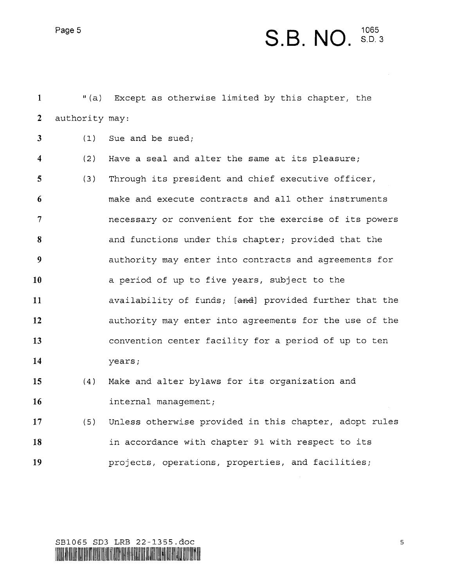#### S.B. NO.  $S.D.3$

"(a) Except as otherwise limited by this chapter, the  $\mathbf{1}$  $\overline{2}$ authority may:

Sue and be sued;  $\mathbf{3}$  $(1)$ 

 $\overline{\mathbf{4}}$  $(2)$ Have a seal and alter the same at its pleasure;  $5\overline{)}$  $(3)$ Through its president and chief executive officer, make and execute contracts and all other instruments 6  $7\phantom{.}$ necessary or convenient for the exercise of its powers and functions under this chapter; provided that the 8 9 authority may enter into contracts and agreements for <sup>a</sup>period of up to five years, subject to the 10 11 availability of funds; [and] provided further that the 12 authority may enter into agreements for the use of the convention center facility for a period of up to ten 13 14 years;

- Make and alter bylaws for its organization and 15  $(4)$ l6 internal management;
- Unless otherwise provided in this chapter, adopt rules 17  $(5)$ 18 in accordance with chapter 91 with respect to its projects, operations, properties, and facilities; 19



 $\mathsf S$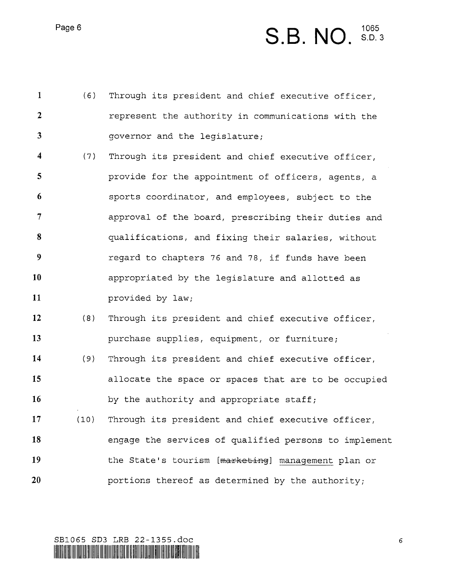Page 6

## $S.B. NO.$   $$5.35$

| $\mathbf{1}$            | (6)  | Through its president and chief executive officer,    |
|-------------------------|------|-------------------------------------------------------|
| $\overline{2}$          |      | represent the authority in communications with the    |
| $\mathbf{3}$            |      | governor and the legislature;                         |
| $\overline{\mathbf{4}}$ | (7)  | Through its president and chief executive officer,    |
| 5                       |      | provide for the appointment of officers, agents, a    |
| 6                       |      | sports coordinator, and employees, subject to the     |
| $\overline{7}$          |      | approval of the board, prescribing their duties and   |
| 8                       |      | qualifications, and fixing their salaries, without    |
| 9                       |      | regard to chapters 76 and 78, if funds have been      |
| 10                      |      | appropriated by the legislature and allotted as       |
| 11                      |      | provided by law;                                      |
| 12                      | (8)  | Through its president and chief executive officer,    |
| 13                      |      | purchase supplies, equipment, or furniture;           |
| 14                      | (9)  | Through its president and chief executive officer,    |
| 15                      |      | allocate the space or spaces that are to be occupied  |
| 16                      |      | by the authority and appropriate staff;               |
| 17                      | (10) | Through its president and chief executive officer,    |
| 18                      |      | engage the services of qualified persons to implement |
| 19                      |      | the State's tourism [marketing] management plan or    |
| 20                      |      | portions thereof as determined by the authority;      |

SBlOGS SD3 LRB 22—1355.dOC

LILLIGID IIHI IEDI IHILLIGIB JIN BIRIHIR IUR ITALI INE DENDI BAHRIHI IBI DILID KALE MELALU DERE NIJE JAHLIHI IBBIH IBBIH CHE KULO

 $\epsilon$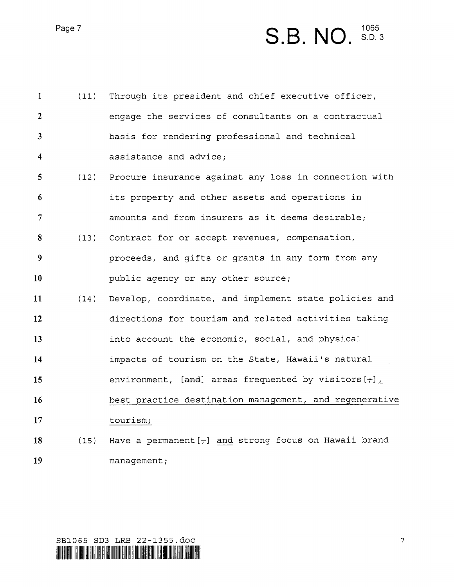Page 7

### S.B. NO.  $S<sub>D</sub>3$

| $\mathbf{1}$            | (11) | Through its president and chief executive officer,           |
|-------------------------|------|--------------------------------------------------------------|
| $\overline{2}$          |      | engage the services of consultants on a contractual          |
| $\mathbf{3}$            |      | basis for rendering professional and technical               |
| $\overline{\mathbf{4}}$ |      | assistance and advice;                                       |
| 5 <sup>5</sup>          |      | (12) Procure insurance against any loss in connection with   |
| 6                       |      | its property and other assets and operations in              |
| 7                       |      | amounts and from insurers as it deems desirable;             |
| 8                       |      | (13) Contract for or accept revenues, compensation,          |
| 9                       |      | proceeds, and gifts or grants in any form from any           |
| 10                      |      | public agency or any other source;                           |
| 11                      | (14) | Develop, coordinate, and implement state policies and        |
| 12                      |      | directions for tourism and related activities taking         |
| 13                      |      | into account the economic, social, and physical              |
| 14                      |      | impacts of tourism on the State, Hawaii's natural            |
| 15                      |      | environment, $[and]$ areas frequented by visitors $[\neg]$ , |
| 16                      |      | best practice destination management, and regenerative       |
| 17                      |      | tourism;                                                     |
| 18                      | (15) | Have a permanent $[-]$ and strong focus on Hawaii brand      |
| 19                      |      | management;                                                  |

 $\overline{7}$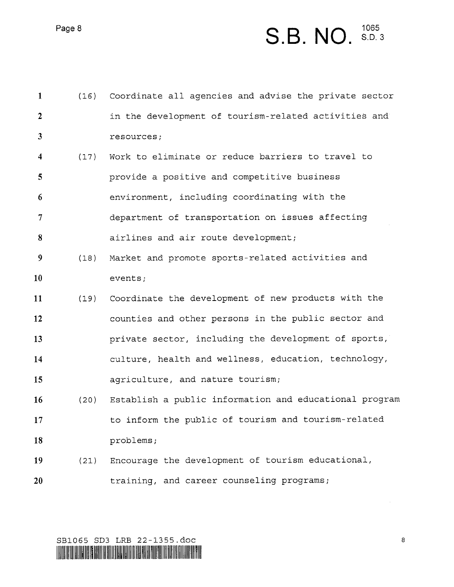S.B. NO.  $S<sub>D<sub>3</sub></sub>$ 

| $\mathbf{1}$            | (16) | Coordinate all agencies and advise the private sector  |
|-------------------------|------|--------------------------------------------------------|
| $\boldsymbol{2}$        |      | in the development of tourism-related activities and   |
| $\overline{\mathbf{3}}$ |      | resources;                                             |
| $\overline{\mathbf{4}}$ | (17) | Work to eliminate or reduce barriers to travel to      |
| 5                       |      | provide a positive and competitive business            |
| 6                       |      | environment, including coordinating with the           |
| $\overline{7}$          |      | department of transportation on issues affecting       |
| 8                       |      | airlines and air route development;                    |
| 9                       | (18) | Market and promote sports-related activities and       |
| 10                      |      | events;                                                |
| 11                      | (19) | Coordinate the development of new products with the    |
| 12                      |      | counties and other persons in the public sector and    |
| 13                      |      | private sector, including the development of sports,   |
| 14                      |      | culture, health and wellness, education, technology,   |
| 15                      |      | agriculture, and nature tourism;                       |
| 16                      | (20) | Establish a public information and educational program |
| 17                      |      | to inform the public of tourism and tourism-related    |
| 18                      |      | problems;                                              |
| 19                      | (21) | Encourage the development of tourism educational,      |
| 20                      |      | training, and career counseling programs;              |
|                         |      |                                                        |

SBlO65 SD3 LRB 22-1355.doc

LISEUSU HII HEI UNE LEST DIELEN THALLI HEI LITE HILLOSIN TEN UUT IF REIGI DITE HEI HELG HEEL HOT DIELEN DITHE ITOOP HEI HITE M

Page 8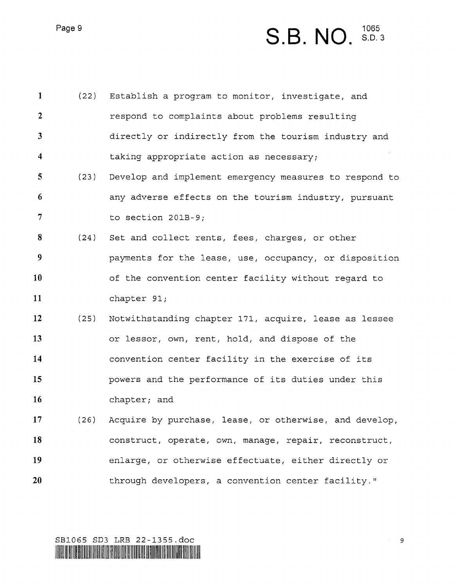S.B. NO. 1065<br>S.D. 3

 $\mathbf{1}$ Establish a program to monitor, investigate, and  $(22)$  $\overline{2}$ respond to complaints about problems resulting  $3<sup>1</sup>$ directly or indirectly from the tourism industry and  $\overline{\mathbf{4}}$ taking appropriate action as necessary; 5  $(23)$ Develop and implement emergency measures to respond to 6 any adverse effects on the tourism industry, pursuant  $\overline{7}$ to section 201B—9; 8  $(24)$ Set and collect rents, fees, charges, or other 9 payments for the lease, use, occupancy, or disposition 10 of the convention center facility without regard to 11 chapter 91; 12  $(25)$ Notwithstanding chapter 171, acquire, lease as lessee or lessor, own, rent, hold, and dispose of the 13 14 convention center facility in the exercise of its 15 powers and the performance of its duties under this 16 chapter; and l7  $(26)$ Acquire by purchase, lease, or otherwise, and develop, 18 construct, operate, own, manage, repair, reconstruct, 19 enlarge, or otherwise effectuate, either directly or 20 through developers, a convention center facility."

SBlO6S SD3 LRB 22-1355.doc WWIIIIHIIH\IIII\HIMHHHHWINI\lllfiflNIH!"IIHIHIHHHIHIW!WIIIIRIIHWNI!lHlHlfillllHHlHWlll

Page 9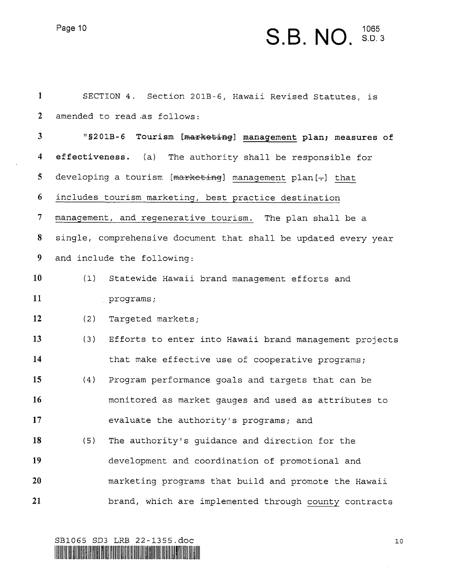$\bar{z}$ 

### Page 10  $S.B. NO.$   $^{1065}_{8. D.}$  $1065$ <br> $S.D. 3$

| $\mathbf{1}$            |     | SECTION 4. Section 201B-6, Hawaii Revised Statutes, is          |
|-------------------------|-----|-----------------------------------------------------------------|
| $\overline{2}$          |     | amended to read as follows:                                     |
| $\overline{\mathbf{3}}$ |     | "\$201B-6 Tourism [marketing] management plan; measures of      |
| $\overline{\mathbf{4}}$ |     | effectiveness. (a)<br>The authority shall be responsible for    |
| 5                       |     | developing a tourism [marketing] management plan[-] that        |
| 6                       |     | includes tourism marketing, best practice destination           |
| $\overline{7}$          |     | management, and regenerative tourism. The plan shall be a       |
| 8                       |     | single, comprehensive document that shall be updated every year |
| 9                       |     | and include the following:                                      |
| 10                      | (1) | Statewide Hawaii brand management efforts and                   |
| 11                      |     | programs;                                                       |
| 12                      | (2) | Targeted markets;                                               |
| 13                      | (3) | Efforts to enter into Hawaii brand management projects          |
| 14                      |     | that make effective use of cooperative programs;                |
| 15                      | (4) | Program performance goals and targets that can be               |
| 16                      |     | monitored as market gauges and used as attributes to            |
| 17                      |     | evaluate the authority's programs; and                          |
| 18                      | (5) | The authority's guidance and direction for the                  |
| 19                      |     | development and coordination of promotional and                 |
| 20                      |     | marketing programs that build and promote the Hawaii            |
| 21                      |     | brand, which are implemented through county contracts           |

SB1065 SD3 LRB 22-1355.doc 10

\\ISHIDIB HILI HEW BOH'DHINI OHAL DIB TATHUY WILIO BA HILININI DON HALI HALINI HALI DARAH HALINI HIYI DHA WALIN HALINI HALINI HALINI HALINI HALINI HALINI HALINI HALINI HALINI HALINI HALINI HALINI HALINI HALINI HALINI HALIN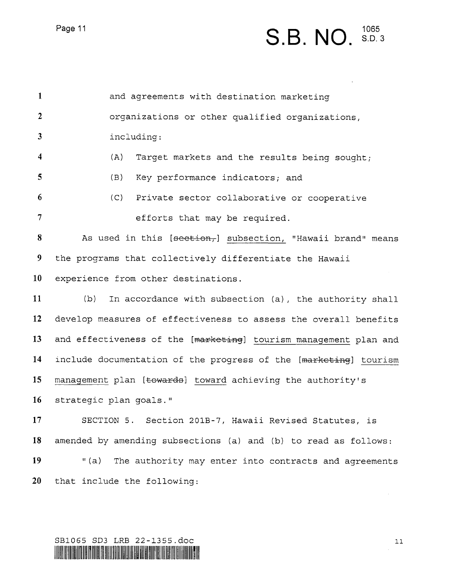### S.B. NO.

 $\mathbf{1}$ and agreements with destination marketing  $\overline{2}$ organizations or other qualified organizations,  $\mathbf{3}$ including:  $\overline{\mathbf{4}}$ (A) Target markets and the results being sought; 5 (B) Key performance indicators; and 6 (C) Private sector collaborative or cooperative  $\overline{7}$ efforts that may be required. 8 As used in this  $[section<sub>r</sub>]$  subsection, "Hawaii brand" means 9 the programs that collectively differentiate the Hawaii 10 experience from other destinations. 11 (b) In accordance with subsection (a), the authority shall 12 develop measures of effectiveness to assess the overall benefits 13 and effectiveness of the [marketing] tourism management plan and 14 include documentation of the progress of the [marketing] tourism 15 management plan [towards] toward achieving the authority's 16 strategic plan goals." 17 SECTION 5. Section 201B-7, Hawaii Revised Statutes, is 18 amended by amending subsections (a) and (b) to read as follows: 19 "(a) The authority may enter into contracts and agreements 20 that include the following:

#### SB1065 SD3 LRB 22-1355.doc 11 HIIHHIHIHIIVHMIIMIHNMIHIIIWI\lllWHIMllHlWIllHIEIilllillfllllmlflmlllfllllfllWHHIIIII|||IM||1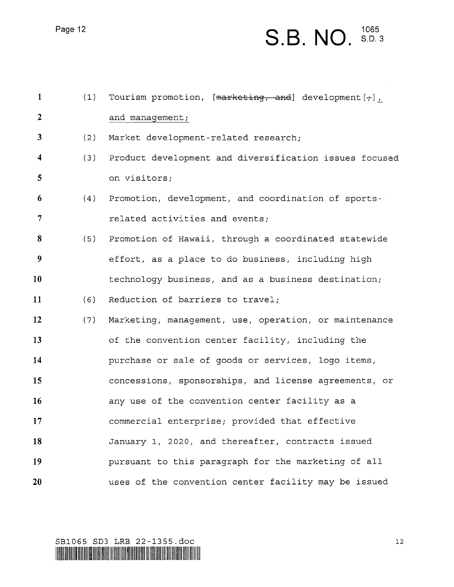### S.B. NO.  $1065$ <br>S.D. 3

| $\mathbf{1}$            | (1) | Tourism promotion, [marketing, and] development $[\cdot, ]$ , |
|-------------------------|-----|---------------------------------------------------------------|
| $\overline{2}$          |     | and management;                                               |
| $\mathbf{3}$            | (2) | Market development-related research;                          |
| $\overline{\mathbf{4}}$ | (3) | Product development and diversification issues focused        |
| 5                       |     | on visitors;                                                  |
| 6                       | (4) | Promotion, development, and coordination of sports-           |
| $\overline{7}$          |     | related activities and events;                                |
| 8                       | (5) | Promotion of Hawaii, through a coordinated statewide          |
| 9                       |     | effort, as a place to do business, including high             |
| 10                      |     | technology business, and as a business destination;           |
| 11                      | (6) | Reduction of barriers to travel;                              |
| 12                      | (7) | Marketing, management, use, operation, or maintenance         |
| 13                      |     | of the convention center facility, including the              |
| 14                      |     | purchase or sale of goods or services, logo items,            |
| 15                      |     | concessions, sponsorships, and license agreements, or         |
| 16                      |     | any use of the convention center facility as a                |
| 17                      |     | commercial enterprise; provided that effective                |
| 18                      |     | January 1, 2020, and thereafter, contracts issued             |
| 19                      |     | pursuant to this paragraph for the marketing of all           |
| 20                      |     | uses of the convention center facility may be issued          |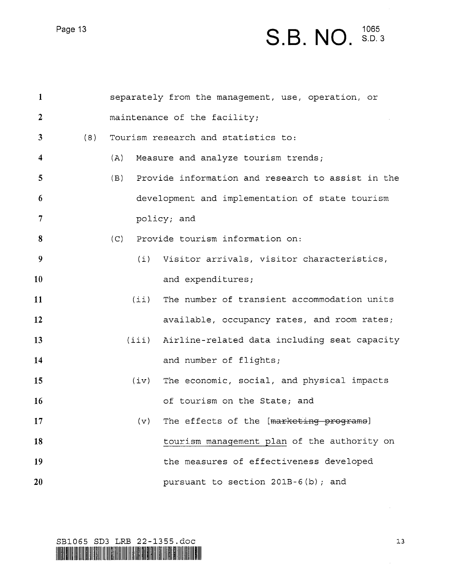# Page 13  $S.B. NO.$   ${}^{1065}_{8. D. 3}$

| $\mathbf{1}$   |     |      | separately from the management, use, operation, or |
|----------------|-----|------|----------------------------------------------------|
| $\overline{2}$ |     |      | maintenance of the facility;                       |
| 3              | (8) |      | Tourism research and statistics to:                |
| 4              |     | (A)  | Measure and analyze tourism trends;                |
| 5              |     | (B)  | Provide information and research to assist in the  |
| 6              |     |      | development and implementation of state tourism    |
| $\overline{7}$ |     |      | policy; and                                        |
| 8              |     | (C)  | Provide tourism information on:                    |
| 9              |     |      | (i) Visitor arrivals, visitor characteristics,     |
| 10             |     |      | and expenditures;                                  |
| 11             |     | (i)  | The number of transient accommodation units        |
| 12             |     |      | available, occupancy rates, and room rates;        |
| 13             |     |      | (iii) Airline-related data including seat capacity |
| 14             |     |      | and number of flights;                             |
| 15             |     | (iv) | The economic, social, and physical impacts         |
| 16             |     |      | of tourism on the State; and                       |
| 17             |     | (v)  | The effects of the [marketing programs]            |
| 18             |     |      | tourism management plan of the authority on        |
| 19             |     |      | the measures of effectiveness developed            |
| 20             |     |      | pursuant to section 201B-6(b); and                 |

SB1065 SD3 LRB 22-1355.doc 13

lillain withi un behe enk an dibbel me hij be dibbin tirl dit in thol din gil meer mit ein fon ten membereken h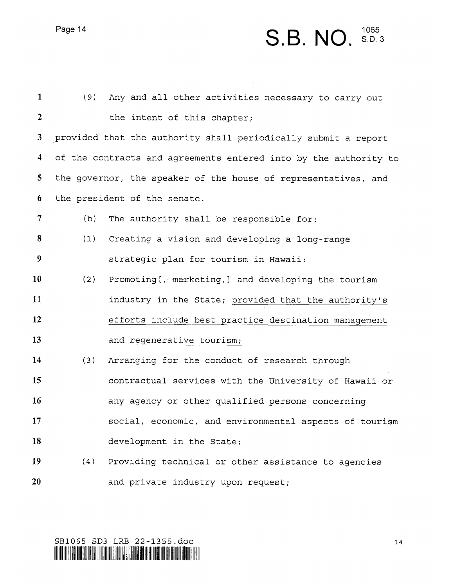### Page 14 **S.B. NO.**  ${}^{1065}_{8. D.}$ 1065<br>S.D. 3

| $\mathbf{1}$            | (9) | Any and all other activities necessary to carry out              |
|-------------------------|-----|------------------------------------------------------------------|
| $\overline{2}$          |     | the intent of this chapter;                                      |
| $\mathbf{3}$            |     | provided that the authority shall periodically submit a report   |
| $\overline{\mathbf{4}}$ |     | of the contracts and agreements entered into by the authority to |
| 5 <sub>1</sub>          |     | the governor, the speaker of the house of representatives, and   |
| 6                       |     | the president of the senate.                                     |
| $\overline{7}$          | (b) | The authority shall be responsible for:                          |
| 8                       | (1) | Creating a vision and developing a long-range                    |
| 9                       |     | strategic plan for tourism in Hawaii;                            |
| 10                      | (2) | Promoting $[-$ marketing, and developing the tourism             |
| 11                      |     | industry in the State; provided that the authority's             |
| 12                      |     | efforts include best practice destination management             |
| 13                      |     | and regenerative tourism;                                        |
| 14                      | (3) | Arranging for the conduct of research through                    |
| 15                      |     | contractual services with the University of Hawaii or            |
| 16                      |     | any agency or other qualified persons concerning                 |
| 17                      |     | social, economic, and environmental aspects of tourism           |
| 18                      |     | development in the State;                                        |
| 19                      | (4) | Providing technical or other assistance to agencies              |
| 20                      |     | and private industry upon request;                               |

 $\mathcal{L}^{\text{max}}_{\text{max}}$  and  $\mathcal{L}^{\text{max}}_{\text{max}}$ 

SB1065 SD3 LRB 22-1355.doc 14 HIIHHIW"I!fll'lllHllHHllfll'l'll'lWHIIWNHIHIWIWilHllfilfilllflllHllWlllWWIHIHINIHIIIHIIIINIH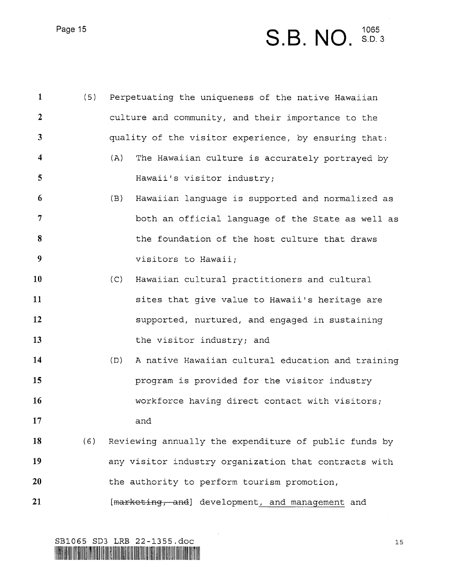### Page 15  $S.B. NO.$   ${}^{1065}_{3. D.}$ 1065<br>S.D. 3

| $\mathbf{1}$            | (5) | Perpetuating the uniqueness of the native Hawaiian       |  |
|-------------------------|-----|----------------------------------------------------------|--|
| $\overline{2}$          |     | culture and community, and their importance to the       |  |
| $\mathbf{3}$            |     | quality of the visitor experience, by ensuring that:     |  |
| $\overline{\mathbf{4}}$ |     | (A)<br>The Hawaiian culture is accurately portrayed by   |  |
| 5                       |     | Hawaii's visitor industry;                               |  |
| 6                       |     | (B)<br>Hawaiian language is supported and normalized as  |  |
| 7                       |     | both an official language of the State as well as        |  |
| 8                       |     | the foundation of the host culture that draws            |  |
| 9                       |     | visitors to Hawaii;                                      |  |
| 10                      |     | (C)<br>Hawaiian cultural practitioners and cultural      |  |
| 11                      |     | sites that give value to Hawaii's heritage are           |  |
| 12                      |     | supported, nurtured, and engaged in sustaining           |  |
| 13                      |     | the visitor industry; and                                |  |
| 14                      |     | (D)<br>A native Hawaiian cultural education and training |  |
| 15                      |     | program is provided for the visitor industry             |  |
| 16                      |     | workforce having direct contact with visitors;           |  |
| 17                      |     | and                                                      |  |
| 18                      | (6) | Reviewing annually the expenditure of public funds by    |  |
| 19                      |     | any visitor industry organization that contracts with    |  |
| 20                      |     | the authority to perform tourism promotion,              |  |
| 21                      |     | [marketing, and] development, and management and         |  |

SB1065 SD3 LRB 22-1355.doc 15

LIASHOO HALILLI HUU TUJI TUJI OO LOOMU OO LITTI YA JIDHIII OOKO OLO GARAA MTO OR OSEA HITI SOLI ANE ODOLO OOMO NEEDHA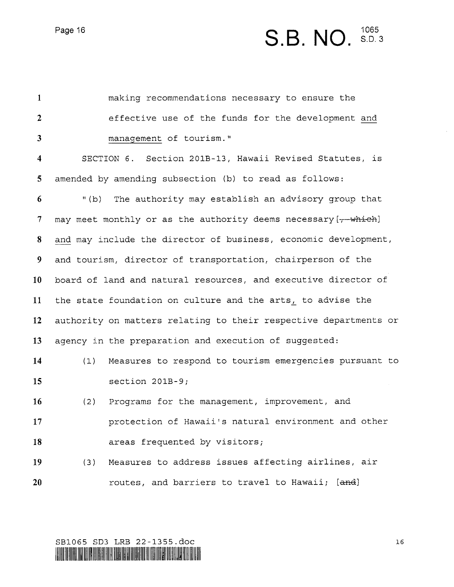Page 16

# S.B. NO.  ${}^{1065}_{5.5}$

| $\mathbf{1}$            |       | making recommendations necessary to ensure the                   |
|-------------------------|-------|------------------------------------------------------------------|
| $\boldsymbol{2}$        |       | effective use of the funds for the development and               |
| $\overline{\mathbf{3}}$ |       | management of tourism."                                          |
| $\overline{\mathbf{4}}$ |       | SECTION 6. Section 201B-13, Hawaii Revised Statutes, is          |
| 5 <sup>5</sup>          |       | amended by amending subsection (b) to read as follows:           |
| 6                       | " (b) | The authority may establish an advisory group that               |
| $\tau$                  |       | may meet monthly or as the authority deems necessary [7 which]   |
| 8                       |       | and may include the director of business, economic development,  |
| 9                       |       | and tourism, director of transportation, chairperson of the      |
| 10                      |       | board of land and natural resources, and executive director of   |
| 11                      |       | the state foundation on culture and the arts, to advise the      |
| 12                      |       | authority on matters relating to their respective departments or |
| 13                      |       | agency in the preparation and execution of suggested:            |
| 14                      | (1)   | Measures to respond to tourism emergencies pursuant to           |
| 15                      |       | section $201B-9;$                                                |
| 16                      | (2)   | Programs for the management, improvement, and                    |
| 17                      |       | protection of Hawaii's natural environment and other             |
| 18                      |       | areas frequented by visitors;                                    |
| 19                      | (3)   | Measures to address issues affecting airlines, air               |
| 20                      |       | routes, and barriers to travel to Hawaii; [and]                  |
|                         |       |                                                                  |

SB1065 SD3 LRB 22-1355.doc l6

HIIBIIIII IIHIIHIING TUUL IBDI TIII TIBIIDIO SIIS ITTU GO DIRHU IITIO UTTI TUTTI HIID IIITI TOO DIRHII DIR WARDI TABIBI ITTO III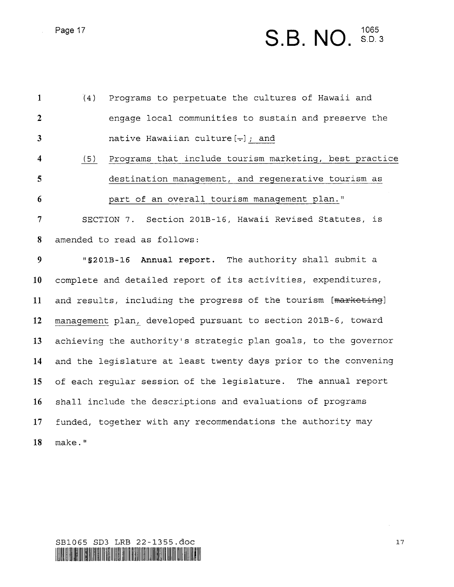# Page 17 **S.B. NO.**  $^{1065}_{8.003}$

| $\mathbf{1}$            | (4)    | Programs to perpetuate the cultures of Hawaii and               |
|-------------------------|--------|-----------------------------------------------------------------|
| $\overline{2}$          |        | engage local communities to sustain and preserve the            |
| $\overline{3}$          |        | native Hawaiian culture $[-]$ ; and                             |
| $\overline{\mathbf{4}}$ | (5)    | Programs that include tourism marketing, best practice          |
| 5                       |        | destination management, and regenerative tourism as             |
| 6                       |        | part of an overall tourism management plan."                    |
| $\overline{7}$          |        | SECTION 7. Section 201B-16, Hawaii Revised Statutes, is         |
| 8                       |        | amended to read as follows:                                     |
| 9                       |        | "\$201B-16 Annual report. The authority shall submit a          |
| 10                      |        | complete and detailed report of its activities, expenditures,   |
| 11                      |        | and results, including the progress of the tourism [marketing]  |
| 12                      |        | management plan, developed pursuant to section 201B-6, toward   |
| 13                      |        | achieving the authority's strategic plan goals, to the governor |
| 14                      |        | and the legislature at least twenty days prior to the convening |
| 15                      |        | of each regular session of the legislature. The annual report   |
| 16                      |        | shall include the descriptions and evaluations of programs      |
| 17 <sub>2</sub>         |        | funded, together with any recommendations the authority may     |
| 18                      | make." |                                                                 |

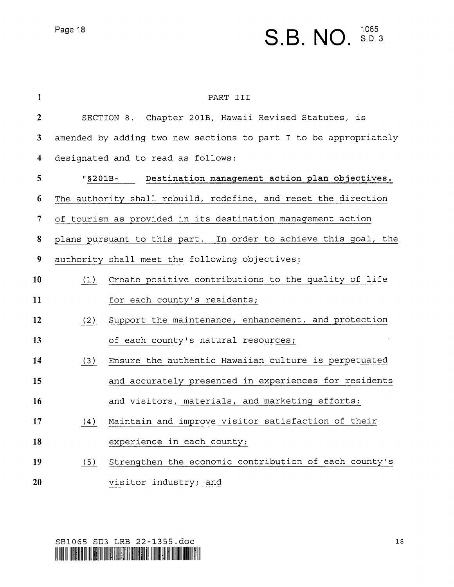### Page 18  $S.B. NO.$   ${}^{1065}_{8.D.3}$ 8.0.3

| $\mathbf{1}$            | PART III                                                         |
|-------------------------|------------------------------------------------------------------|
| $\overline{2}$          | SECTION 8. Chapter 201B, Hawaii Revised Statutes, is             |
| 3                       | amended by adding two new sections to part I to be appropriately |
| $\overline{\mathbf{4}}$ | designated and to read as follows:                               |
| $5\overline{)}$         | "\$201B- Destination management action plan objectives.          |
| 6                       | The authority shall rebuild, redefine, and reset the direction   |
| $\tau$                  | of tourism as provided in its destination management action      |
| 8                       | plans pursuant to this part. In order to achieve this goal, the  |
| 9                       | authority shall meet the following objectives:                   |
| 10                      | (1) Create positive contributions to the quality of life         |
| 11                      | for each county's residents;                                     |
| 12                      | Support the maintenance, enhancement, and protection<br>(2)      |
| 13                      | of each county's natural resources;                              |
| 14                      | Ensure the authentic Hawaiian culture is perpetuated<br>(3)      |
| 15                      | and accurately presented in experiences for residents            |
| 16                      | and visitors, materials, and marketing efforts;                  |
| 17                      | (4) Maintain and improve visitor satisfaction of their           |
| 18                      | experience in each county;                                       |
| 19                      | Strengthen the economic contribution of each county's<br>(5)     |
| 20                      | visitor industry; and                                            |

SB1065 SD3 LRB 22-1355.doc 18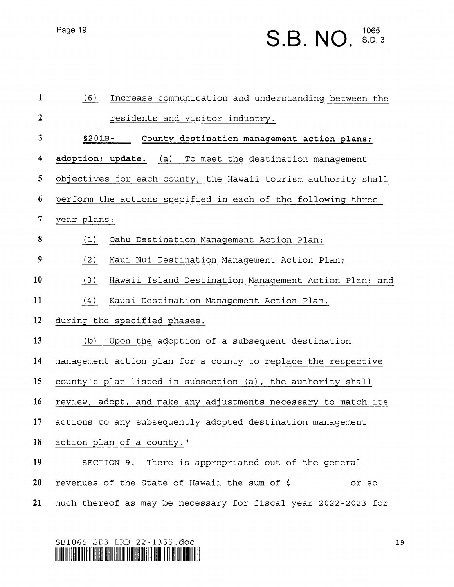## Page 19  $S.B. NO.$   ${}^{1065}_{8. D. 3}$

| $\mathbf{1}$            | (6)<br>Increase communication and understanding between the    |
|-------------------------|----------------------------------------------------------------|
| $\mathbf{2}$            | residents and visitor industry.                                |
| $\mathbf{3}$            | $$201B-$<br>County destination management action plans;        |
| $\overline{\mathbf{4}}$ | adoption; update. (a) To meet the destination management       |
| 5                       | objectives for each county, the Hawaii tourism authority shall |
| 6                       | perform the actions specified in each of the following three-  |
| $\overline{7}$          | year plans:                                                    |
| $\bf{8}$                | (1)<br>Oahu Destination Management Action Plan;                |
| 9                       | (2)<br>Maui Nui Destination Management Action Plan;            |
| 10                      | (3)<br>Hawaii Island Destination Management Action Plan; and   |
| 11                      | Kauai Destination Management Action Plan,<br>(4)               |
| 12                      | during the specified phases.                                   |
| 13                      | Upon the adoption of a subsequent destination<br>(b)           |
| 14                      | management action plan for a county to replace the respective  |
| 15                      | county's plan listed in subsection (a), the authority shall    |
| 16                      | review, adopt, and make any adjustments necessary to match its |
| 17                      | actions to any subsequently adopted destination management     |
| 18                      | action plan of a county."                                      |
| 19                      | SECTION 9. There is appropriated out of the general            |
| 20                      | revenues of the State of Hawaii the sum of \$<br>or so         |
| 21                      | much thereof as may be necessary for fiscal year 2022-2023 for |

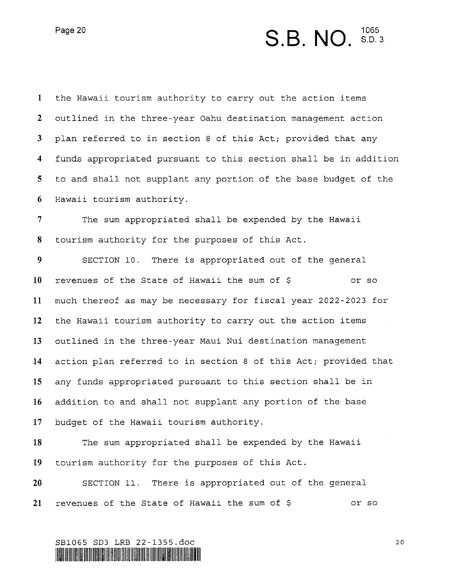Page 20

### S.B. NO. 5.D.3

 $\mathbf{1}$ the Hawaii tourism authority to carry out the action items  $\overline{2}$ outlined in the three—year Oahu destination management action  $\mathbf{3}$ plan referred to in section 8 of this Act; provided that any  $\overline{\mathbf{4}}$ funds appropriated pursuant to this section shall be in addition 5 to and shall not supplant any portion of the base budget of the 6 Hawaii tourism authority.

 $\overline{7}$ The sum appropriated shall be expended by the Hawaii 8 tourism authority for the purposes of this Act.

9 SECTION 10. There is appropriated out of the general 10 revenues of the State of Hawaii the sum of \$ or so much thereof as may be necessary for fiscal year 2022-2023 for 11 12 the Hawaii tourism authority to carry out the action items outlined in the three—year Maui Nui destination management 13 14 action plan referred to in section 8 of this Act; provided that any funds appropriated pursuant to this section shall be in 15 addition to and shall not supplant any portion of the base 16 17 budget of the Hawaii tourism authority.

18 19 The sum appropriated shall be expended by the Hawaii tourism authority for the purposes of this Act.

20 21 SECTION ll. There is appropriated out of the general revenues of the State of Hawaii the sum of \$ or so

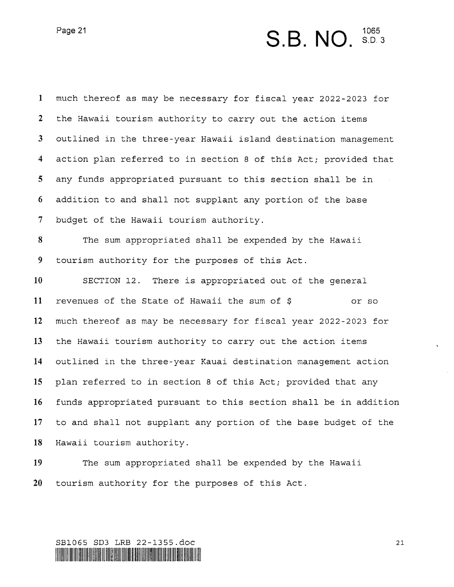## Page 21 **S.B. NO.**  ${}^{1065}_{8. D. 3}$

 $\mathbf{1}$ much thereof as may be necessary for fiscal year 2022—2023 for  $\overline{2}$ the Hawaii tourism authority to carry out the action items  $\mathbf{3}$ outlined in the three-year Hawaii island destination management  $\overline{\mathbf{4}}$ action plan referred to in section 8 of this Act; provided that 5 any funds appropriated pursuant to this section shall be in addition to and shall not supplant any portion of the base 6  $7\phantom{.}$ budget of the Hawaii tourism authority. 8 The sum appropriated shall be expended by the Hawaii 9 tourism authority for the purposes of this Act. 10 SECTION l2. There is appropriated out of the general 11 revenues of the State of Hawaii the sum of  $\beta$  or so 12 much thereof as may be necessary for fiscal year 2022—2023 for 13 the Hawaii tourism authority to carry out the action items 14 outlined in the three—year Kauai destination management action 15 plan referred to in section 8 of this Act; provided that any l6 funds appropriated pursuant to this section shall be in addition 17 to and shall not supplant any portion of the base budget of the l8 Hawaii tourism authority.

19 20 The sum appropriated shall be expended by the Hawaii tourism authority for the purposes of this Act.

#### SBlO65 SD3 LRB 22—1355.doc 21 NIIHHIHH\lllVIMHUIIWIWHIVIIHHIHIIFJIHUIHIIHIillINIHHIHHIHIIEIIIWIIIWNWIHIEIW\IHIHIIWHHV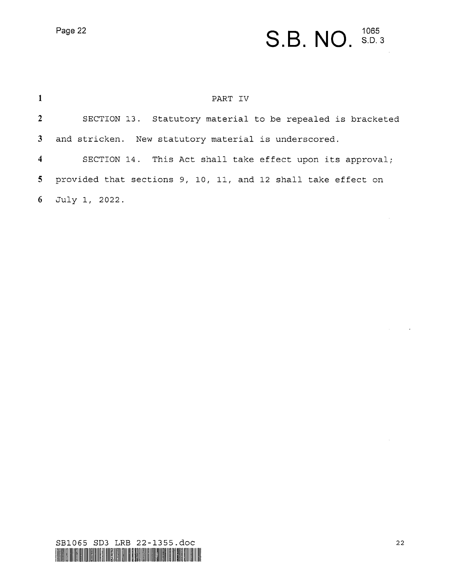# Page 22 **S.B. NO.**  $^{1065}$

| $\mathbf{1}$   | PART IV                                                         |
|----------------|-----------------------------------------------------------------|
| 2 <sup>7</sup> | SECTION 13. Statutory material to be repealed is bracketed      |
|                | 3 and stricken. New statutory material is underscored.          |
| $\overline{4}$ | SECTION 14. This Act shall take effect upon its approval;       |
|                | 5 provided that sections 9, 10, 11, and 12 shall take effect on |
|                | 6 July 1, 2022.                                                 |